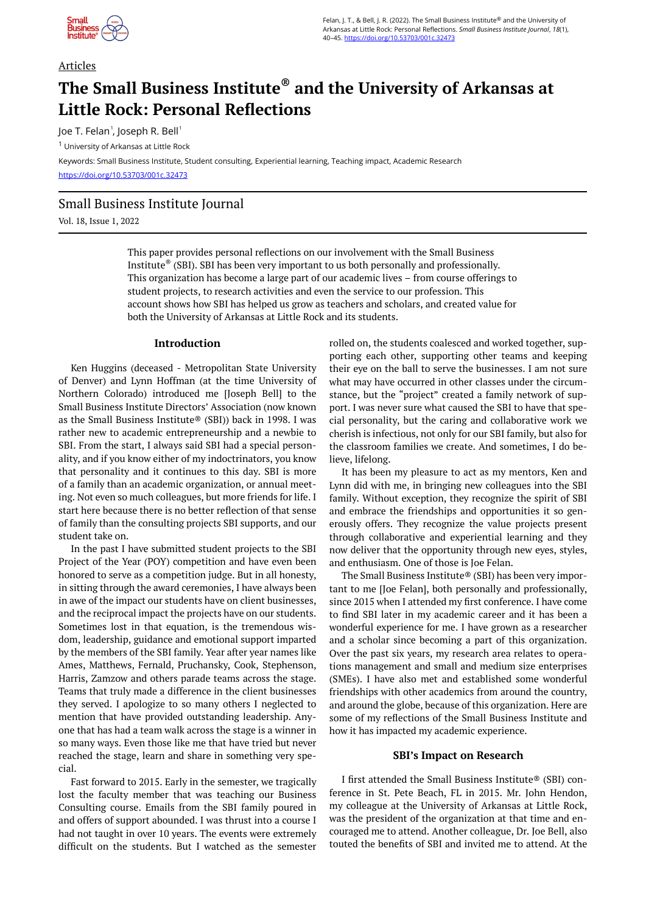

### Articles

# **The Small Business Institute® and the University of Arkansas at Little Rock: Personal Reflections**

Joe T. Felan $^{\rm !}$ , Joseph R. Bell $^{\rm !}$ 

<sup>1</sup> University of Arkansas at Little Rock

Keywords: Small Business Institute, Student consulting, Experiential learning, Teaching impact, Academic Research <https://doi.org/10.53703/001c.32473>

## Small Business Institute Journal

Vol. 18, Issue 1, 2022

This paper provides personal reflections on our involvement with the Small Business Institute® (SBI). SBI has been very important to us both personally and professionally. This organization has become a large part of our academic lives – from course offerings to student projects, to research activities and even the service to our profession. This account shows how SBI has helped us grow as teachers and scholars, and created value for both the University of Arkansas at Little Rock and its students.

#### **Introduction**

Ken Huggins (deceased - Metropolitan State University of Denver) and Lynn Hoffman (at the time University of Northern Colorado) introduced me [Joseph Bell] to the Small Business Institute Directors' Association (now known as the Small Business Institute® (SBI)) back in 1998. I was rather new to academic entrepreneurship and a newbie to SBI. From the start, I always said SBI had a special personality, and if you know either of my indoctrinators, you know that personality and it continues to this day. SBI is more of a family than an academic organization, or annual meeting. Not even so much colleagues, but more friends for life. I start here because there is no better reflection of that sense of family than the consulting projects SBI supports, and our student take on.

In the past I have submitted student projects to the SBI Project of the Year (POY) competition and have even been honored to serve as a competition judge. But in all honesty, in sitting through the award ceremonies, I have always been in awe of the impact our students have on client businesses, and the reciprocal impact the projects have on our students. Sometimes lost in that equation, is the tremendous wisdom, leadership, guidance and emotional support imparted by the members of the SBI family. Year after year names like Ames, Matthews, Fernald, Pruchansky, Cook, Stephenson, Harris, Zamzow and others parade teams across the stage. Teams that truly made a difference in the client businesses they served. I apologize to so many others I neglected to mention that have provided outstanding leadership. Anyone that has had a team walk across the stage is a winner in so many ways. Even those like me that have tried but never reached the stage, learn and share in something very special.

Fast forward to 2015. Early in the semester, we tragically lost the faculty member that was teaching our Business Consulting course. Emails from the SBI family poured in and offers of support abounded. I was thrust into a course I had not taught in over 10 years. The events were extremely difficult on the students. But I watched as the semester

rolled on, the students coalesced and worked together, supporting each other, supporting other teams and keeping their eye on the ball to serve the businesses. I am not sure what may have occurred in other classes under the circumstance, but the "project" created a family network of support. I was never sure what caused the SBI to have that special personality, but the caring and collaborative work we cherish is infectious, not only for our SBI family, but also for the classroom families we create. And sometimes, I do believe, lifelong.

It has been my pleasure to act as my mentors, Ken and Lynn did with me, in bringing new colleagues into the SBI family. Without exception, they recognize the spirit of SBI and embrace the friendships and opportunities it so generously offers. They recognize the value projects present through collaborative and experiential learning and they now deliver that the opportunity through new eyes, styles, and enthusiasm. One of those is Joe Felan.

The Small Business Institute® (SBI) has been very important to me [Joe Felan], both personally and professionally, since 2015 when I attended my first conference. I have come to find SBI later in my academic career and it has been a wonderful experience for me. I have grown as a researcher and a scholar since becoming a part of this organization. Over the past six years, my research area relates to operations management and small and medium size enterprises (SMEs). I have also met and established some wonderful friendships with other academics from around the country, and around the globe, because of this organization. Here are some of my reflections of the Small Business Institute and how it has impacted my academic experience.

#### **SBI's Impact on Research**

I first attended the Small Business Institute® (SBI) conference in St. Pete Beach, FL in 2015. Mr. John Hendon, my colleague at the University of Arkansas at Little Rock, was the president of the organization at that time and encouraged me to attend. Another colleague, Dr. Joe Bell, also touted the benefits of SBI and invited me to attend. At the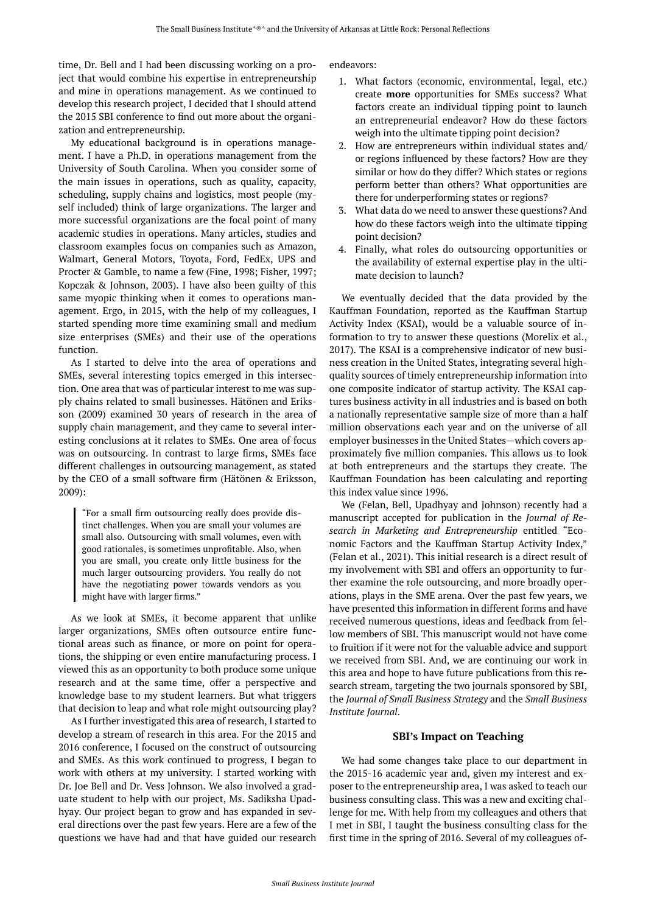time, Dr. Bell and I had been discussing working on a project that would combine his expertise in entrepreneurship and mine in operations management. As we continued to develop this research project, I decided that I should attend the 2015 SBI conference to find out more about the organization and entrepreneurship.

My educational background is in operations management. I have a Ph.D. in operations management from the University of South Carolina. When you consider some of the main issues in operations, such as quality, capacity, scheduling, supply chains and logistics, most people (myself included) think of large organizations. The larger and more successful organizations are the focal point of many academic studies in operations. Many articles, studies and classroom examples focus on companies such as Amazon, Walmart, General Motors, Toyota, Ford, FedEx, UPS and Procter & Gamble, to name a few (Fine, 1998; Fisher, 1997; Kopczak & Johnson, 2003). I have also been guilty of this same myopic thinking when it comes to operations management. Ergo, in 2015, with the help of my colleagues, I started spending more time examining small and medium size enterprises (SMEs) and their use of the operations function.

As I started to delve into the area of operations and SMEs, several interesting topics emerged in this intersection. One area that was of particular interest to me was supply chains related to small businesses. Hätönen and Eriksson (2009) examined 30 years of research in the area of supply chain management, and they came to several interesting conclusions at it relates to SMEs. One area of focus was on outsourcing. In contrast to large firms, SMEs face different challenges in outsourcing management, as stated by the CEO of a small software firm (Hätönen & Eriksson, 2009):

"For a small firm outsourcing really does provide distinct challenges. When you are small your volumes are small also. Outsourcing with small volumes, even with good rationales, is sometimes unprofitable. Also, when you are small, you create only little business for the much larger outsourcing providers. You really do not have the negotiating power towards vendors as you might have with larger firms."

As we look at SMEs, it become apparent that unlike larger organizations, SMEs often outsource entire functional areas such as finance, or more on point for operations, the shipping or even entire manufacturing process. I viewed this as an opportunity to both produce some unique research and at the same time, offer a perspective and knowledge base to my student learners. But what triggers that decision to leap and what role might outsourcing play?

As I further investigated this area of research, I started to develop a stream of research in this area. For the 2015 and 2016 conference, I focused on the construct of outsourcing and SMEs. As this work continued to progress, I began to work with others at my university. I started working with Dr. Joe Bell and Dr. Vess Johnson. We also involved a graduate student to help with our project, Ms. Sadiksha Upadhyay. Our project began to grow and has expanded in several directions over the past few years. Here are a few of the questions we have had and that have guided our research

endeavors:

- 1. What factors (economic, environmental, legal, etc.) create **more** opportunities for SMEs success? What factors create an individual tipping point to launch an entrepreneurial endeavor? How do these factors weigh into the ultimate tipping point decision?
- 2. How are entrepreneurs within individual states and/ or regions influenced by these factors? How are they similar or how do they differ? Which states or regions perform better than others? What opportunities are there for underperforming states or regions?
- 3. What data do we need to answer these questions? And how do these factors weigh into the ultimate tipping point decision?
- 4. Finally, what roles do outsourcing opportunities or the availability of external expertise play in the ultimate decision to launch?

We eventually decided that the data provided by the Kauffman Foundation, reported as the Kauffman Startup Activity Index (KSAI), would be a valuable source of information to try to answer these questions (Morelix et al., 2017). The KSAI is a comprehensive indicator of new business creation in the United States, integrating several highquality sources of timely entrepreneurship information into one composite indicator of startup activity. The KSAI captures business activity in all industries and is based on both a nationally representative sample size of more than a half million observations each year and on the universe of all employer businesses in the United States—which covers approximately five million companies. This allows us to look at both entrepreneurs and the startups they create. The Kauffman Foundation has been calculating and reporting this index value since 1996.

We (Felan, Bell, Upadhyay and Johnson) recently had a manuscript accepted for publication in the *Journal of Research in Marketing and Entrepreneurship* entitled "Economic Factors and the Kauffman Startup Activity Index," (Felan et al., 2021). This initial research is a direct result of my involvement with SBI and offers an opportunity to further examine the role outsourcing, and more broadly operations, plays in the SME arena. Over the past few years, we have presented this information in different forms and have received numerous questions, ideas and feedback from fellow members of SBI. This manuscript would not have come to fruition if it were not for the valuable advice and support we received from SBI. And, we are continuing our work in this area and hope to have future publications from this research stream, targeting the two journals sponsored by SBI, the *Journal of Small Business Strategy* and the *Small Business Institute Journal*.

#### **SBI's Impact on Teaching**

We had some changes take place to our department in the 2015-16 academic year and, given my interest and exposer to the entrepreneurship area, I was asked to teach our business consulting class. This was a new and exciting challenge for me. With help from my colleagues and others that I met in SBI, I taught the business consulting class for the first time in the spring of 2016. Several of my colleagues of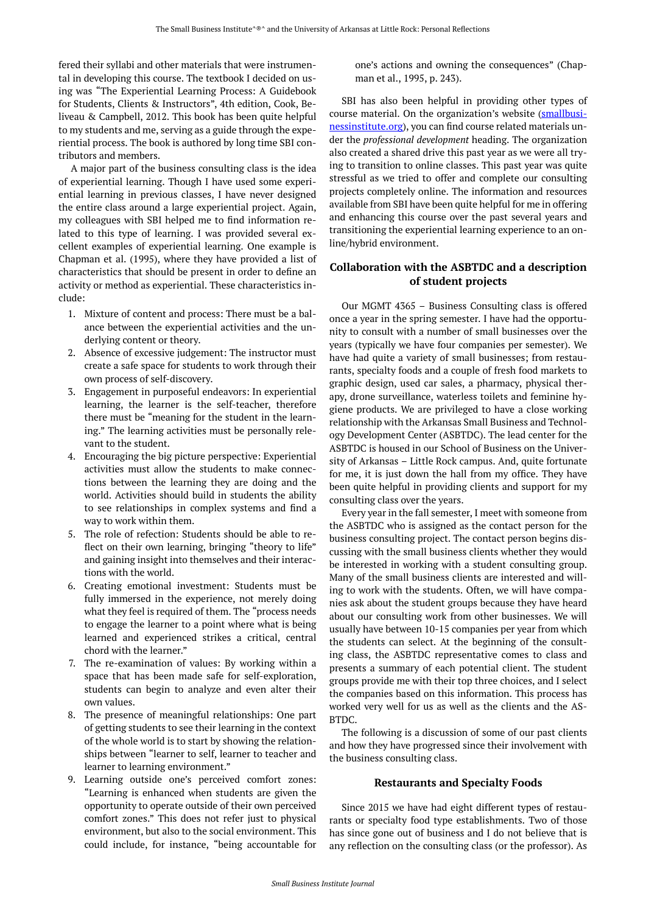fered their syllabi and other materials that were instrumental in developing this course. The textbook I decided on using was "The Experiential Learning Process: A Guidebook for Students, Clients & Instructors", 4th edition, Cook, Beliveau & Campbell, 2012. This book has been quite helpful to my students and me, serving as a guide through the experiential process. The book is authored by long time SBI contributors and members.

A major part of the business consulting class is the idea of experiential learning. Though I have used some experiential learning in previous classes, I have never designed the entire class around a large experiential project. Again, my colleagues with SBI helped me to find information related to this type of learning. I was provided several excellent examples of experiential learning. One example is Chapman et al. (1995), where they have provided a list of characteristics that should be present in order to define an activity or method as experiential. These characteristics include:

- 1. Mixture of content and process: There must be a balance between the experiential activities and the underlying content or theory.
- 2. Absence of excessive judgement: The instructor must create a safe space for students to work through their own process of self-discovery.
- 3. Engagement in purposeful endeavors: In experiential learning, the learner is the self-teacher, therefore there must be "meaning for the student in the learning." The learning activities must be personally relevant to the student.
- 4. Encouraging the big picture perspective: Experiential activities must allow the students to make connections between the learning they are doing and the world. Activities should build in students the ability to see relationships in complex systems and find a way to work within them.
- 5. The role of refection: Students should be able to reflect on their own learning, bringing "theory to life" and gaining insight into themselves and their interactions with the world.
- 6. Creating emotional investment: Students must be fully immersed in the experience, not merely doing what they feel is required of them. The "process needs to engage the learner to a point where what is being learned and experienced strikes a critical, central chord with the learner."
- 7. The re-examination of values: By working within a space that has been made safe for self-exploration, students can begin to analyze and even alter their own values.
- 8. The presence of meaningful relationships: One part of getting students to see their learning in the context of the whole world is to start by showing the relationships between "learner to self, learner to teacher and learner to learning environment."
- 9. Learning outside one's perceived comfort zones: "Learning is enhanced when students are given the opportunity to operate outside of their own perceived comfort zones." This does not refer just to physical environment, but also to the social environment. This could include, for instance, "being accountable for

one's actions and owning the consequences" (Chapman et al., 1995, p. 243).

SBI has also been helpful in providing other types of course material. On the organization's website [\(smallbusi](http://smallbusinessinstitute.org/)[nessinstitute.org](http://smallbusinessinstitute.org/)), you can find course related materials under the *professional development* heading. The organization also created a shared drive this past year as we were all trying to transition to online classes. This past year was quite stressful as we tried to offer and complete our consulting projects completely online. The information and resources available from SBI have been quite helpful for me in offering and enhancing this course over the past several years and transitioning the experiential learning experience to an online/hybrid environment.

## **Collaboration with the ASBTDC and a description of student projects**

Our MGMT 4365 – Business Consulting class is offered once a year in the spring semester. I have had the opportunity to consult with a number of small businesses over the years (typically we have four companies per semester). We have had quite a variety of small businesses; from restaurants, specialty foods and a couple of fresh food markets to graphic design, used car sales, a pharmacy, physical therapy, drone surveillance, waterless toilets and feminine hygiene products. We are privileged to have a close working relationship with the Arkansas Small Business and Technology Development Center (ASBTDC). The lead center for the ASBTDC is housed in our School of Business on the University of Arkansas – Little Rock campus. And, quite fortunate for me, it is just down the hall from my office. They have been quite helpful in providing clients and support for my consulting class over the years.

Every year in the fall semester, I meet with someone from the ASBTDC who is assigned as the contact person for the business consulting project. The contact person begins discussing with the small business clients whether they would be interested in working with a student consulting group. Many of the small business clients are interested and willing to work with the students. Often, we will have companies ask about the student groups because they have heard about our consulting work from other businesses. We will usually have between 10-15 companies per year from which the students can select. At the beginning of the consulting class, the ASBTDC representative comes to class and presents a summary of each potential client. The student groups provide me with their top three choices, and I select the companies based on this information. This process has worked very well for us as well as the clients and the AS-BTDC.

The following is a discussion of some of our past clients and how they have progressed since their involvement with the business consulting class.

#### **Restaurants and Specialty Foods**

Since 2015 we have had eight different types of restaurants or specialty food type establishments. Two of those has since gone out of business and I do not believe that is any reflection on the consulting class (or the professor). As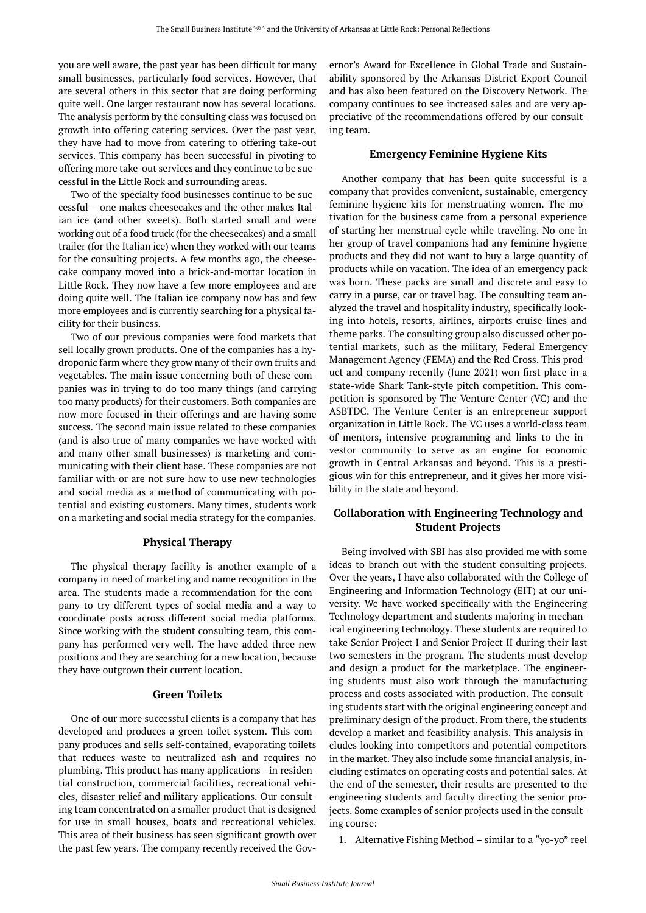you are well aware, the past year has been difficult for many small businesses, particularly food services. However, that are several others in this sector that are doing performing quite well. One larger restaurant now has several locations. The analysis perform by the consulting class was focused on growth into offering catering services. Over the past year, they have had to move from catering to offering take-out services. This company has been successful in pivoting to offering more take-out services and they continue to be successful in the Little Rock and surrounding areas.

Two of the specialty food businesses continue to be successful – one makes cheesecakes and the other makes Italian ice (and other sweets). Both started small and were working out of a food truck (for the cheesecakes) and a small trailer (for the Italian ice) when they worked with our teams for the consulting projects. A few months ago, the cheesecake company moved into a brick-and-mortar location in Little Rock. They now have a few more employees and are doing quite well. The Italian ice company now has and few more employees and is currently searching for a physical facility for their business.

Two of our previous companies were food markets that sell locally grown products. One of the companies has a hydroponic farm where they grow many of their own fruits and vegetables. The main issue concerning both of these companies was in trying to do too many things (and carrying too many products) for their customers. Both companies are now more focused in their offerings and are having some success. The second main issue related to these companies (and is also true of many companies we have worked with and many other small businesses) is marketing and communicating with their client base. These companies are not familiar with or are not sure how to use new technologies and social media as a method of communicating with potential and existing customers. Many times, students work on a marketing and social media strategy for the companies.

## **Physical Therapy**

The physical therapy facility is another example of a company in need of marketing and name recognition in the area. The students made a recommendation for the company to try different types of social media and a way to coordinate posts across different social media platforms. Since working with the student consulting team, this company has performed very well. The have added three new positions and they are searching for a new location, because they have outgrown their current location.

#### **Green Toilets**

One of our more successful clients is a company that has developed and produces a green toilet system. This company produces and sells self-contained, evaporating toilets that reduces waste to neutralized ash and requires no plumbing. This product has many applications –in residential construction, commercial facilities, recreational vehicles, disaster relief and military applications. Our consulting team concentrated on a smaller product that is designed for use in small houses, boats and recreational vehicles. This area of their business has seen significant growth over the past few years. The company recently received the Governor's Award for Excellence in Global Trade and Sustainability sponsored by the Arkansas District Export Council and has also been featured on the Discovery Network. The company continues to see increased sales and are very appreciative of the recommendations offered by our consulting team.

#### **Emergency Feminine Hygiene Kits**

Another company that has been quite successful is a company that provides convenient, sustainable, emergency feminine hygiene kits for menstruating women. The motivation for the business came from a personal experience of starting her menstrual cycle while traveling. No one in her group of travel companions had any feminine hygiene products and they did not want to buy a large quantity of products while on vacation. The idea of an emergency pack was born. These packs are small and discrete and easy to carry in a purse, car or travel bag. The consulting team analyzed the travel and hospitality industry, specifically looking into hotels, resorts, airlines, airports cruise lines and theme parks. The consulting group also discussed other potential markets, such as the military, Federal Emergency Management Agency (FEMA) and the Red Cross. This product and company recently (June 2021) won first place in a state-wide Shark Tank-style pitch competition. This competition is sponsored by The Venture Center (VC) and the ASBTDC. The Venture Center is an entrepreneur support organization in Little Rock. The VC uses a world-class team of mentors, intensive programming and links to the investor community to serve as an engine for economic growth in Central Arkansas and beyond. This is a prestigious win for this entrepreneur, and it gives her more visibility in the state and beyond.

## **Collaboration with Engineering Technology and Student Projects**

Being involved with SBI has also provided me with some ideas to branch out with the student consulting projects. Over the years, I have also collaborated with the College of Engineering and Information Technology (EIT) at our university. We have worked specifically with the Engineering Technology department and students majoring in mechanical engineering technology. These students are required to take Senior Project I and Senior Project II during their last two semesters in the program. The students must develop and design a product for the marketplace. The engineering students must also work through the manufacturing process and costs associated with production. The consulting students start with the original engineering concept and preliminary design of the product. From there, the students develop a market and feasibility analysis. This analysis includes looking into competitors and potential competitors in the market. They also include some financial analysis, including estimates on operating costs and potential sales. At the end of the semester, their results are presented to the engineering students and faculty directing the senior projects. Some examples of senior projects used in the consulting course:

1. Alternative Fishing Method – similar to a "yo-yo" reel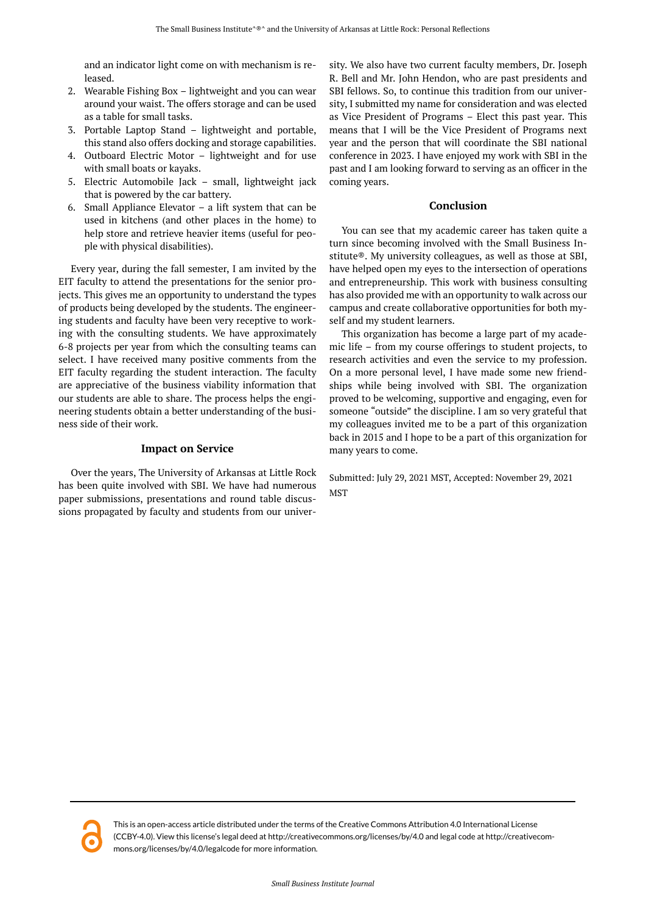and an indicator light come on with mechanism is released.

- 2. Wearable Fishing Box lightweight and you can wear around your waist. The offers storage and can be used as a table for small tasks.
- 3. Portable Laptop Stand lightweight and portable, this stand also offers docking and storage capabilities.
- 4. Outboard Electric Motor lightweight and for use with small boats or kayaks.
- 5. Electric Automobile Jack small, lightweight jack that is powered by the car battery.
- 6. Small Appliance Elevator a lift system that can be used in kitchens (and other places in the home) to help store and retrieve heavier items (useful for people with physical disabilities).

Every year, during the fall semester, I am invited by the EIT faculty to attend the presentations for the senior projects. This gives me an opportunity to understand the types of products being developed by the students. The engineering students and faculty have been very receptive to working with the consulting students. We have approximately 6-8 projects per year from which the consulting teams can select. I have received many positive comments from the EIT faculty regarding the student interaction. The faculty are appreciative of the business viability information that our students are able to share. The process helps the engineering students obtain a better understanding of the business side of their work.

## **Impact on Service**

Over the years, The University of Arkansas at Little Rock has been quite involved with SBI. We have had numerous paper submissions, presentations and round table discussions propagated by faculty and students from our univer-

sity. We also have two current faculty members, Dr. Joseph R. Bell and Mr. John Hendon, who are past presidents and SBI fellows. So, to continue this tradition from our university, I submitted my name for consideration and was elected as Vice President of Programs – Elect this past year. This means that I will be the Vice President of Programs next year and the person that will coordinate the SBI national conference in 2023. I have enjoyed my work with SBI in the past and I am looking forward to serving as an officer in the coming years.

### **Conclusion**

You can see that my academic career has taken quite a turn since becoming involved with the Small Business Institute®. My university colleagues, as well as those at SBI, have helped open my eyes to the intersection of operations and entrepreneurship. This work with business consulting has also provided me with an opportunity to walk across our campus and create collaborative opportunities for both myself and my student learners.

This organization has become a large part of my academic life – from my course offerings to student projects, to research activities and even the service to my profession. On a more personal level, I have made some new friendships while being involved with SBI. The organization proved to be welcoming, supportive and engaging, even for someone "outside" the discipline. I am so very grateful that my colleagues invited me to be a part of this organization back in 2015 and I hope to be a part of this organization for many years to come.

Submitted: July 29, 2021 MST, Accepted: November 29, 2021 **MST** 



This is an open-access article distributed under the terms of the Creative Commons Attribution 4.0 International License (CCBY-4.0). View this license's legal deed at http://creativecommons.org/licenses/by/4.0 and legal code at http://creativecommons.org/licenses/by/4.0/legalcode for more information.